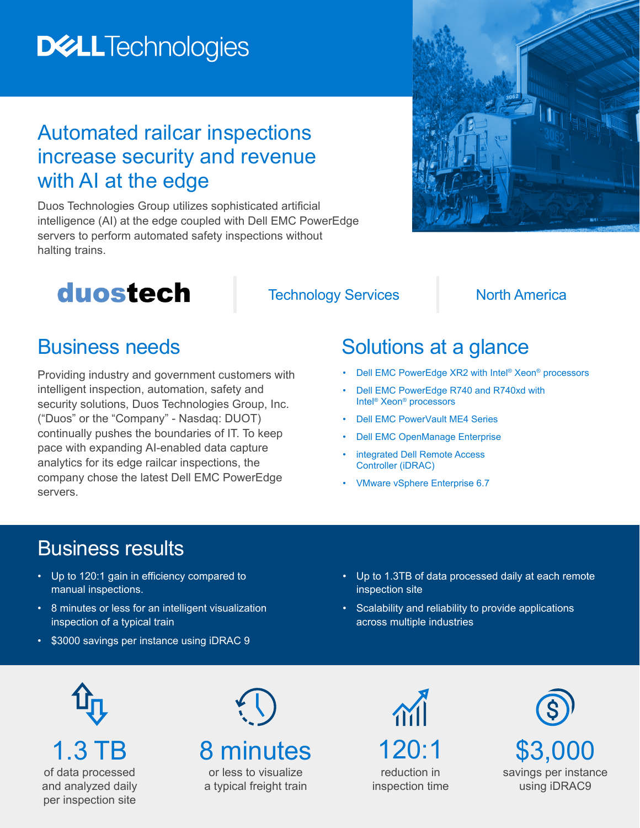## **DELLTechnologies**

#### Automated railcar inspections increase security and revenue with AI at the edge

Duos Technologies Group utilizes sophisticated artificial intelligence (AI) at the edge coupled with Dell EMC PowerEdge servers to perform automated safety inspections without halting trains.



## duostech

**Technology Services North America** 

#### Business needs

Providing industry and government customers with intelligent inspection, automation, safety and security solutions, Duos Technologies Group, Inc. ("Duos" or the "Company" - Nasdaq: DUOT) continually pushes the boundaries of IT. To keep pace with expanding AI-enabled data capture analytics for its edge railcar inspections, the company chose the latest Dell EMC PowerEdge servers.

### Solutions at a glance

- • [Dell EMC PowerEdge XR2](https://www.dell.com/en-us/work/shop/povw/poweredge-xr2) with Intel<sup>®</sup> Xeon<sup>®</sup> [processors](https://www.dell.com/en-us/work/shop/povw/poweredge-xr2)
- • [Dell EMC PowerEdge R740 and R740xd](https://www.dell.com/en-us/work/shop/cty/pdp/spd/poweredge-r740xd/pe_r740xd_12238_vi_vp) with Intel® Xeon® processors
- **Dell EMC PowerVault ME4 Series**
- • [Dell EMC OpenManage Enterprise](https://www.delltechnologies.com/en-us/solutions/openmanage/enterprise.htm#scroll=off)
- integrated Dell Remote Access [Controller \(iDRAC\)](https://www.delltechnologies.com/en-us/solutions/openmanage/idrac.htm#scroll=off)
- VMware vSphere Enterprise 6.7

#### Business results

- Up to 120:1 gain in efficiency compared to manual inspections.
- 8 minutes or less for an intelligent visualization inspection of a typical train
- \$3000 savings per instance using iDRAC 9
- Up to 1.3TB of data processed daily at each remote inspection site
- Scalability and reliability to provide applications across multiple industries

1.3 TB of data processed and analyzed daily per inspection site

# 8 minutes

or less to visualize a typical freight train

120:1 reduction in inspection time

 $\Lambda$ 

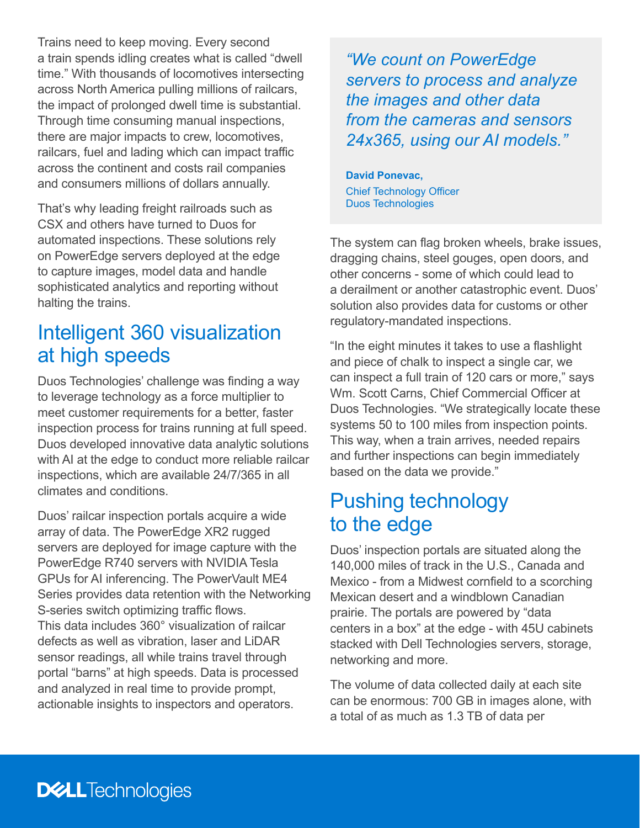Trains need to keep moving. Every second a train spends idling creates what is called "dwell time." With thousands of locomotives intersecting across North America pulling millions of railcars, the impact of prolonged dwell time is substantial. Through time consuming manual inspections, there are major impacts to crew, locomotives, railcars, fuel and lading which can impact traffic across the continent and costs rail companies and consumers millions of dollars annually.

That's why leading freight railroads such as CSX and others have turned to Duos for automated inspections. These solutions rely on PowerEdge servers deployed at the edge to capture images, model data and handle sophisticated analytics and reporting without halting the trains.

#### Intelligent 360 visualization at high speeds

Duos Technologies' challenge was finding a way to leverage technology as a force multiplier to meet customer requirements for a better, faster inspection process for trains running at full speed. Duos developed innovative data analytic solutions with AI at the edge to conduct more reliable railcar inspections, which are available 24/7/365 in all climates and conditions.

Duos' railcar inspection portals acquire a wide array of data. The PowerEdge XR2 rugged servers are deployed for image capture with the PowerEdge R740 servers with NVIDIA Tesla GPUs for AI inferencing. The PowerVault ME4 Series provides data retention with the Networking S-series switch optimizing traffic flows. This data includes 360° visualization of railcar defects as well as vibration, laser and LiDAR sensor readings, all while trains travel through portal "barns" at high speeds. Data is processed and analyzed in real time to provide prompt, actionable insights to inspectors and operators.

*"We count on PowerEdge servers to process and analyze the images and other data from the cameras and sensors 24x365, using our AI models."*

**David Ponevac,** Chief Technology Officer Duos Technologies

The system can flag broken wheels, brake issues, dragging chains, steel gouges, open doors, and other concerns - some of which could lead to a derailment or another catastrophic event. Duos' solution also provides data for customs or other regulatory-mandated inspections.

"In the eight minutes it takes to use a flashlight and piece of chalk to inspect a single car, we can inspect a full train of 120 cars or more," says Wm. Scott Carns, Chief Commercial Officer at Duos Technologies. "We strategically locate these systems 50 to 100 miles from inspection points. This way, when a train arrives, needed repairs and further inspections can begin immediately based on the data we provide."

#### Pushing technology to the edge

Duos' inspection portals are situated along the 140,000 miles of track in the U.S., Canada and Mexico - from a Midwest cornfield to a scorching Mexican desert and a windblown Canadian prairie. The portals are powered by "data centers in a box" at the edge - with 45U cabinets stacked with Dell Technologies servers, storage, networking and more.

The volume of data collected daily at each site can be enormous: 700 GB in images alone, with a total of as much as 1.3 TB of data per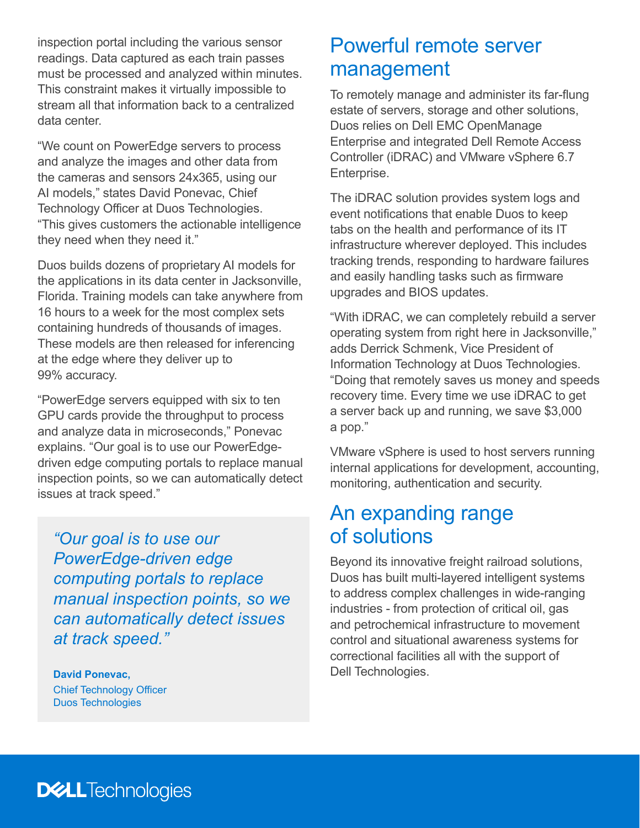inspection portal including the various sensor readings. Data captured as each train passes must be processed and analyzed within minutes. This constraint makes it virtually impossible to stream all that information back to a centralized data center.

"We count on PowerEdge servers to process and analyze the images and other data from the cameras and sensors 24x365, using our AI models," states David Ponevac, Chief Technology Officer at Duos Technologies. "This gives customers the actionable intelligence they need when they need it."

Duos builds dozens of proprietary AI models for the applications in its data center in Jacksonville, Florida. Training models can take anywhere from 16 hours to a week for the most complex sets containing hundreds of thousands of images. These models are then released for inferencing at the edge where they deliver up to 99% accuracy.

"PowerEdge servers equipped with six to ten GPU cards provide the throughput to process and analyze data in microseconds," Ponevac explains. "Our goal is to use our PowerEdgedriven edge computing portals to replace manual inspection points, so we can automatically detect issues at track speed."

*"Our goal is to use our PowerEdge-driven edge computing portals to replace manual inspection points, so we can automatically detect issues at track speed."* 

**David Ponevac,** Chief Technology Officer Duos Technologies

#### Powerful remote server management

To remotely manage and administer its far-flung estate of servers, storage and other solutions, Duos relies on Dell EMC OpenManage Enterprise and integrated Dell Remote Access Controller (iDRAC) and VMware vSphere 6.7 Enterprise.

The iDRAC solution provides system logs and event notifications that enable Duos to keep tabs on the health and performance of its IT infrastructure wherever deployed. This includes tracking trends, responding to hardware failures and easily handling tasks such as firmware upgrades and BIOS updates.

"With iDRAC, we can completely rebuild a server operating system from right here in Jacksonville," adds Derrick Schmenk, Vice President of Information Technology at Duos Technologies. "Doing that remotely saves us money and speeds recovery time. Every time we use iDRAC to get a server back up and running, we save \$3,000 a pop."

VMware vSphere is used to host servers running internal applications for development, accounting, monitoring, authentication and security.

#### An expanding range of solutions

Beyond its innovative freight railroad solutions, Duos has built multi-layered intelligent systems to address complex challenges in wide-ranging industries - from protection of critical oil, gas and petrochemical infrastructure to movement control and situational awareness systems for correctional facilities all with the support of Dell Technologies.